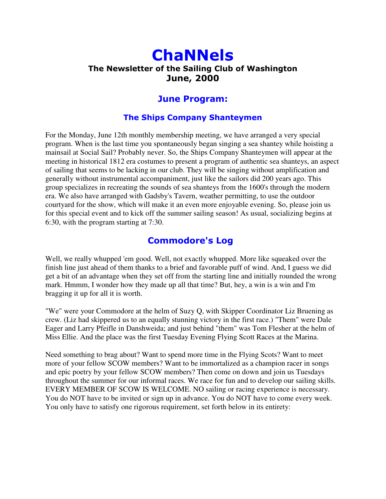# **ChaNNels** The Newsletter of the Sailing Club of Washington **June, 2000**

## **June Program:**

#### **The Ships Company Shanteymen**

For the Monday, June 12th monthly membership meeting, we have arranged a very special program. When is the last time you spontaneously began singing a sea shantey while hoisting a mainsail at Social Sail? Probably never. So, the Ships Company Shanteymen will appear at the meeting in historical 1812 era costumes to present a program of authentic sea shanteys, an aspect of sailing that seems to be lacking in our club. They will be singing without amplification and generally without instrumental accompaniment, just like the sailors did 200 years ago. This group specializes in recreating the sounds of sea shanteys from the 1600's through the modern era. We also have arranged with Gadsby's Tavern, weather permitting, to use the outdoor courtyard for the show, which will make it an even more enjoyable evening. So, please join us for this special event and to kick off the summer sailing season! As usual, socializing begins at 6:30, with the program starting at 7:30.

### **Commodore's Log**

Well, we really whupped 'em good. Well, not exactly whupped. More like squeaked over the finish line just ahead of them thanks to a brief and favorable puff of wind. And, I guess we did get a bit of an advantage when they set off from the starting line and initially rounded the wrong mark. Hmmm, I wonder how they made up all that time? But, hey, a win is a win and I'm bragging it up for all it is worth.

"We" were your Commodore at the helm of Suzy Q, with Skipper Coordinator Liz Bruening as crew. (Liz had skippered us to an equally stunning victory in the first race.) "Them" were Dale Eager and Larry Pfeifle in Danshweida; and just behind "them" was Tom Flesher at the helm of Miss Ellie. And the place was the first Tuesday Evening Flying Scott Races at the Marina.

Need something to brag about? Want to spend more time in the Flying Scots? Want to meet more of your fellow SCOW members? Want to be immortalized as a champion racer in songs and epic poetry by your fellow SCOW members? Then come on down and join us Tuesdays throughout the summer for our informal races. We race for fun and to develop our sailing skills. EVERY MEMBER OF SCOW IS WELCOME. NO sailing or racing experience is necessary. You do NOT have to be invited or sign up in advance. You do NOT have to come every week. You only have to satisfy one rigorous requirement, set forth below in its entirety: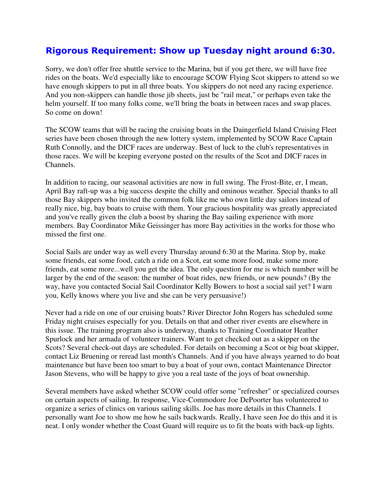## Rigorous Requirement: Show up Tuesday night around 6:30.

Sorry, we don't offer free shuttle service to the Marina, but if you get there, we will have free rides on the boats. We'd especially like to encourage SCOW Flying Scot skippers to attend so we have enough skippers to put in all three boats. You skippers do not need any racing experience. And you non-skippers can handle those jib sheets, just be "rail meat," or perhaps even take the helm yourself. If too many folks come, we'll bring the boats in between races and swap places. So come on down!

The SCOW teams that will be racing the cruising boats in the Daingerfield Island Cruising Fleet series have been chosen through the new lottery system, implemented by SCOW Race Captain Ruth Connolly, and the DICF races are underway. Best of luck to the club's representatives in those races. We will be keeping everyone posted on the results of the Scot and DICF races in Channels.

In addition to racing, our seasonal activities are now in full swing. The Frost-Bite, er, I mean, April Bay raft-up was a big success despite the chilly and ominous weather. Special thanks to all those Bay skippers who invited the common folk like me who own little day sailors instead of really nice, big, bay boats to cruise with them. Your gracious hospitality was greatly appreciated and you've really given the club a boost by sharing the Bay sailing experience with more members. Bay Coordinator Mike Geissinger has more Bay activities in the works for those who missed the first one.

Social Sails are under way as well every Thursday around 6:30 at the Marina. Stop by, make some friends, eat some food, catch a ride on a Scot, eat some more food, make some more friends, eat some more...well you get the idea. The only question for me is which number will be larger by the end of the season: the number of boat rides, new friends, or new pounds? (By the way, have you contacted Social Sail Coordinator Kelly Bowers to host a social sail yet? I warn you, Kelly knows where you live and she can be very persuasive!)

Never had a ride on one of our cruising boats? River Director John Rogers has scheduled some Friday night cruises especially for you. Details on that and other river events are elsewhere in this issue. The training program also is underway, thanks to Training Coordinator Heather Spurlock and her armada of volunteer trainers. Want to get checked out as a skipper on the Scots? Several check-out days are scheduled. For details on becoming a Scot or big boat skipper, contact Liz Bruening or reread last month's Channels. And if you have always yearned to do boat maintenance but have been too smart to buy a boat of your own, contact Maintenance Director Jason Stevens, who will be happy to give you a real taste of the joys of boat ownership.

Several members have asked whether SCOW could offer some "refresher" or specialized courses on certain aspects of sailing. In response, Vice-Commodore Joe DePoorter has volunteered to organize a series of clinics on various sailing skills. Joe has more details in this Channels. I personally want Joe to show me how he sails backwards. Really, I have seen Joe do this and it is neat. I only wonder whether the Coast Guard will require us to fit the boats with back-up lights.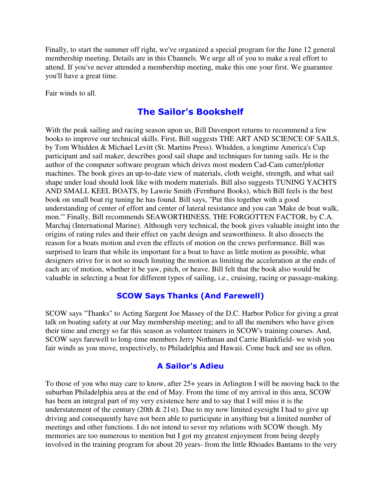Finally, to start the summer off right, we've organized a special program for the June 12 general membership meeting. Details are in this Channels. We urge all of you to make a real effort to attend. If you've never attended a membership meeting, make this one your first. We guarantee you'll have a great time.

Fair winds to all.

## The Sailor's Bookshelf

With the peak sailing and racing season upon us, Bill Davenport returns to recommend a few books to improve our technical skills. First, Bill suggests THE ART AND SCIENCE OF SAILS, by Tom Whidden & Michael Levitt (St. Martins Press). Whidden, a longtime America's Cup participant and sail maker, describes good sail shape and techniques for tuning sails. He is the author of the computer software program which drives most modern Cad-Cam cutter/plotter machines. The book gives an up-to-date view of materials, cloth weight, strength, and what sail shape under load should look like with modern materials. Bill also suggests TUNING YACHTS AND SMALL KEEL BOATS, by Lawrie Smith (Fernhurst Books), which Bill feels is the best book on small boat rig tuning he has found. Bill says, "Put this together with a good understanding of center of effort and center of lateral resistance and you can 'Make de boat walk, mon.'" Finally, Bill recommends SEAWORTHINESS, THE FORGOTTEN FACTOR, by C.A. Marchaj (International Marine). Although very technical, the book gives valuable insight into the origins of rating rules and their effect on yacht design and seaworthiness. It also dissects the reason for a boats motion and even the effects of motion on the crews performance. Bill was surprised to learn that while its important for a boat to have as little motion as possible, what designers strive for is not so much limiting the motion as limiting the acceleration at the ends of each arc of motion, whether it be yaw, pitch, or heave. Bill felt that the book also would be valuable in selecting a boat for different types of sailing, i.e., cruising, racing or passage-making.

#### **SCOW Says Thanks (And Farewell)**

SCOW says "Thanks" to Acting Sargent Joe Massey of the D.C. Harbor Police for giving a great talk on boating safety at our May membership meeting; and to all the members who have given their time and energy so far this season as volunteer trainers in SCOW's training courses. And, SCOW says farewell to long-time members Jerry Nothman and Carrie Blankfield- we wish you fair winds as you move, respectively, to Philadelphia and Hawaii. Come back and see us often.

#### **A Sailor's Adieu**

To those of you who may care to know, after 25+ years in Arlington I will be moving back to the suburban Philadelphia area at the end of May. From the time of my arrival in this area, SCOW has been an integral part of my very existence here and to say that I will miss it is the understatement of the century (20th  $& 21st$ ). Due to my now limited eyesight I had to give up driving and consequently have not been able to participate in anything but a limited number of meetings and other functions. I do not intend to sever my relations with SCOW though. My memories are too numerous to mention but I got my greatest enjoyment from being deeply involved in the training program for about 20 years- from the little Rhoades Bantams to the very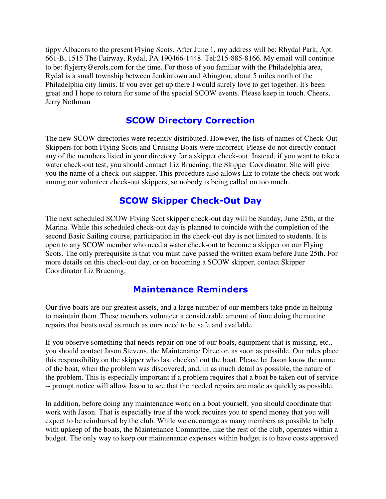tippy Albacors to the present Flying Scots. After June 1, my address will be: Rhydal Park, Apt. 661-B, 1515 The Fairway, Rydal, PA 190466-1448. Tel:215-885-8166. My email will continue to be: flyjerry@erols.com for the time. For those of you familiar with the Philadelphia area, Rydal is a small township between Jenkintown and Abington, about 5 miles north of the Philadelphia city limits. If you ever get up there I would surely love to get together. It's been great and I hope to return for some of the special SCOW events. Please keep in touch. Cheers, Jerry Nothman

## **SCOW Directory Correction**

The new SCOW directories were recently distributed. However, the lists of names of Check-Out Skippers for both Flying Scots and Cruising Boats were incorrect. Please do not directly contact any of the members listed in your directory for a skipper check-out. Instead, if you want to take a water check-out test, you should contact Liz Bruening, the Skipper Coordinator. She will give you the name of a check-out skipper. This procedure also allows Liz to rotate the check-out work among our volunteer check-out skippers, so nobody is being called on too much.

## **SCOW Skipper Check-Out Day**

The next scheduled SCOW Flying Scot skipper check-out day will be Sunday, June 25th, at the Marina. While this scheduled check-out day is planned to coincide with the completion of the second Basic Sailing course, participation in the check-out day is not limited to students. It is open to any SCOW member who need a water check-out to become a skipper on our Flying Scots. The only prerequisite is that you must have passed the written exam before June 25th. For more details on this check-out day, or on becoming a SCOW skipper, contact Skipper Coordinator Liz Bruening.

### **Maintenance Reminders**

Our five boats are our greatest assets, and a large number of our members take pride in helping to maintain them. These members volunteer a considerable amount of time doing the routine repairs that boats used as much as ours need to be safe and available.

If you observe something that needs repair on one of our boats, equipment that is missing, etc., you should contact Jason Stevens, the Maintenance Director, as soon as possible. Our rules place this responsibility on the skipper who last checked out the boat. Please let Jason know the name of the boat, when the problem was discovered, and, in as much detail as possible, the nature of the problem. This is especially important if a problem requires that a boat be taken out of service -- prompt notice will allow Jason to see that the needed repairs are made as quickly as possible.

In addition, before doing any maintenance work on a boat yourself, you should coordinate that work with Jason. That is especially true if the work requires you to spend money that you will expect to be reimbursed by the club. While we encourage as many members as possible to help with upkeep of the boats, the Maintenance Committee, like the rest of the club, operates within a budget. The only way to keep our maintenance expenses within budget is to have costs approved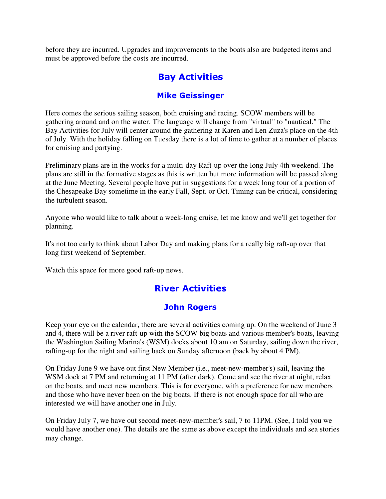before they are incurred. Upgrades and improvements to the boats also are budgeted items and must be approved before the costs are incurred.

## **Bay Activities**

#### **Mike Geissinger**

Here comes the serious sailing season, both cruising and racing. SCOW members will be gathering around and on the water. The language will change from "virtual" to "nautical." The Bay Activities for July will center around the gathering at Karen and Len Zuza's place on the 4th of July. With the holiday falling on Tuesday there is a lot of time to gather at a number of places for cruising and partying.

Preliminary plans are in the works for a multi-day Raft-up over the long July 4th weekend. The plans are still in the formative stages as this is written but more information will be passed along at the June Meeting. Several people have put in suggestions for a week long tour of a portion of the Chesapeake Bay sometime in the early Fall, Sept. or Oct. Timing can be critical, considering the turbulent season.

Anyone who would like to talk about a week-long cruise, let me know and we'll get together for planning.

It's not too early to think about Labor Day and making plans for a really big raft-up over that long first weekend of September.

Watch this space for more good raft-up news.

## **River Activities**

### John Rogers

Keep your eye on the calendar, there are several activities coming up. On the weekend of June 3 and 4, there will be a river raft-up with the SCOW big boats and various member's boats, leaving the Washington Sailing Marina's (WSM) docks about 10 am on Saturday, sailing down the river, rafting-up for the night and sailing back on Sunday afternoon (back by about 4 PM).

On Friday June 9 we have out first New Member (i.e., meet-new-member's) sail, leaving the WSM dock at 7 PM and returning at 11 PM (after dark). Come and see the river at night, relax on the boats, and meet new members. This is for everyone, with a preference for new members and those who have never been on the big boats. If there is not enough space for all who are interested we will have another one in July.

On Friday July 7, we have out second meet-new-member's sail, 7 to 11PM. (See, I told you we would have another one). The details are the same as above except the individuals and sea stories may change.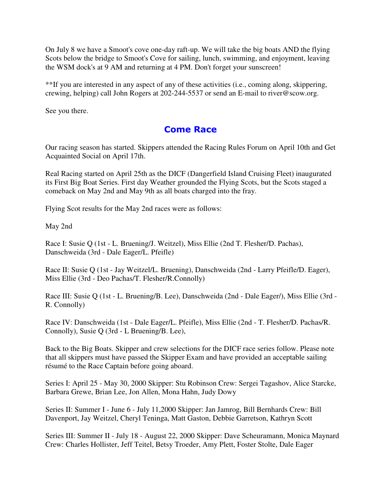On July 8 we have a Smoot's cove one-day raft-up. We will take the big boats AND the flying Scots below the bridge to Smoot's Cove for sailing, lunch, swimming, and enjoyment, leaving the WSM dock's at 9 AM and returning at 4 PM. Don't forget your sunscreen!

\*\*If you are interested in any aspect of any of these activities (i.e., coming along, skippering, crewing, helping) call John Rogers at 202-244-5537 or send an E-mail to river@scow.org.

See you there.

## **Come Race**

Our racing season has started. Skippers attended the Racing Rules Forum on April 10th and Get Acquainted Social on April 17th.

Real Racing started on April 25th as the DICF (Dangerfield Island Cruising Fleet) inaugurated its First Big Boat Series. First day Weather grounded the Flying Scots, but the Scots staged a comeback on May 2nd and May 9th as all boats charged into the fray.

Flying Scot results for the May 2nd races were as follows:

May 2nd

Race I: Susie Q (1st - L. Bruening/J. Weitzel), Miss Ellie (2nd T. Flesher/D. Pachas), Danschweida (3rd - Dale Eager/L. Pfeifle)

Race II: Susie Q (1st - Jay Weitzel/L. Bruening), Danschweida (2nd - Larry Pfeifle/D. Eager), Miss Ellie (3rd - Deo Pachas/T. Flesher/R.Connolly)

Race III: Susie Q (1st - L. Bruening/B. Lee), Danschweida (2nd - Dale Eager/), Miss Ellie (3rd - R. Connolly)

Race IV: Danschweida (1st - Dale Eager/L. Pfeifle), Miss Ellie (2nd - T. Flesher/D. Pachas/R. Connolly), Susie Q (3rd - L Bruening/B. Lee),

Back to the Big Boats. Skipper and crew selections for the DICF race series follow. Please note that all skippers must have passed the Skipper Exam and have provided an acceptable sailing résumé to the Race Captain before going aboard.

Series I: April 25 - May 30, 2000 Skipper: Stu Robinson Crew: Sergei Tagashov, Alice Starcke, Barbara Grewe, Brian Lee, Jon Allen, Mona Hahn, Judy Dowy

Series II: Summer I - June 6 - July 11,2000 Skipper: Jan Jamrog, Bill Bernhards Crew: Bill Davenport, Jay Weitzel, Cheryl Teninga, Matt Gaston, Debbie Garretson, Kathryn Scott

Series III: Summer II - July 18 - August 22, 2000 Skipper: Dave Scheuramann, Monica Maynard Crew: Charles Hollister, Jeff Teitel, Betsy Troeder, Amy Plett, Foster Stolte, Dale Eager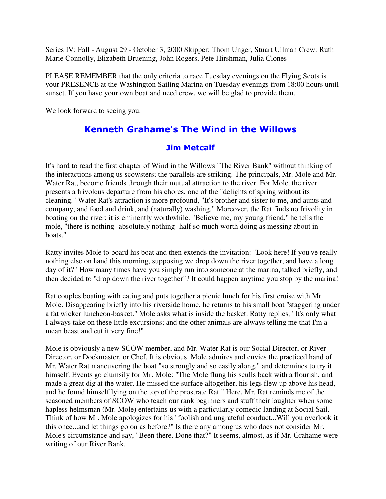Series IV: Fall - August 29 - October 3, 2000 Skipper: Thom Unger, Stuart Ullman Crew: Ruth Marie Connolly, Elizabeth Bruening, John Rogers, Pete Hirshman, Julia Clones

PLEASE REMEMBER that the only criteria to race Tuesday evenings on the Flying Scots is your PRESENCE at the Washington Sailing Marina on Tuesday evenings from 18:00 hours until sunset. If you have your own boat and need crew, we will be glad to provide them.

We look forward to seeing you.

## Kenneth Grahame's The Wind in the Willows

#### **Jim Metcalf**

It's hard to read the first chapter of Wind in the Willows "The River Bank" without thinking of the interactions among us scowsters; the parallels are striking. The principals, Mr. Mole and Mr. Water Rat, become friends through their mutual attraction to the river. For Mole, the river presents a frivolous departure from his chores, one of the "delights of spring without its cleaning." Water Rat's attraction is more profound, "It's brother and sister to me, and aunts and company, and food and drink, and (naturally) washing." Moreover, the Rat finds no frivolity in boating on the river; it is eminently worthwhile. "Believe me, my young friend," he tells the mole, "there is nothing -absolutely nothing- half so much worth doing as messing about in boats."

Ratty invites Mole to board his boat and then extends the invitation: "Look here! If you've really nothing else on hand this morning, supposing we drop down the river together, and have a long day of it?" How many times have you simply run into someone at the marina, talked briefly, and then decided to "drop down the river together"? It could happen anytime you stop by the marina!

Rat couples boating with eating and puts together a picnic lunch for his first cruise with Mr. Mole. Disappearing briefly into his riverside home, he returns to his small boat "staggering under a fat wicker luncheon-basket." Mole asks what is inside the basket. Ratty replies, "It's only what I always take on these little excursions; and the other animals are always telling me that I'm a mean beast and cut it very fine!"

Mole is obviously a new SCOW member, and Mr. Water Rat is our Social Director, or River Director, or Dockmaster, or Chef. It is obvious. Mole admires and envies the practiced hand of Mr. Water Rat maneuvering the boat "so strongly and so easily along," and determines to try it himself. Events go clumsily for Mr. Mole: "The Mole flung his sculls back with a flourish, and made a great dig at the water. He missed the surface altogether, his legs flew up above his head, and he found himself lying on the top of the prostrate Rat." Here, Mr. Rat reminds me of the seasoned members of SCOW who teach our rank beginners and stuff their laughter when some hapless helmsman (Mr. Mole) entertains us with a particularly comedic landing at Social Sail. Think of how Mr. Mole apologizes for his "foolish and ungrateful conduct...Will you overlook it this once...and let things go on as before?" Is there any among us who does not consider Mr. Mole's circumstance and say, "Been there. Done that?" It seems, almost, as if Mr. Grahame were writing of our River Bank.